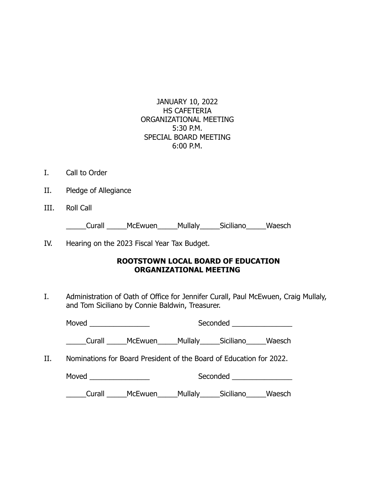JANUARY 10, 2022 HS CAFETERIA ORGANIZATIONAL MEETING 5:30 P.M. SPECIAL BOARD MEETING 6:00 P.M.

- I. Call to Order
- II. Pledge of Allegiance
- III. Roll Call

\_\_\_\_\_Curall \_\_\_\_\_McEwuen\_\_\_\_\_Mullaly\_\_\_\_\_Siciliano\_\_\_\_\_Waesch

IV. Hearing on the 2023 Fiscal Year Tax Budget.

## **ROOTSTOWN LOCAL BOARD OF EDUCATION ORGANIZATIONAL MEETING**

I. Administration of Oath of Office for Jennifer Curall, Paul McEwuen, Craig Mullaly, and Tom Siciliano by Connie Baldwin, Treasurer.

|     |                                                                     | Seconded ________________  |  |
|-----|---------------------------------------------------------------------|----------------------------|--|
|     | Curall McEwuen Mullaly Siciliano Waesch                             |                            |  |
| II. | Nominations for Board President of the Board of Education for 2022. |                            |  |
|     |                                                                     | Seconded _________________ |  |
|     | Curall ______McEwuen______Mullaly______Siciliano______Waesch        |                            |  |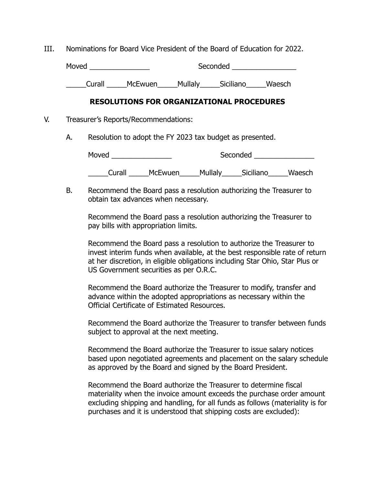III. Nominations for Board Vice President of the Board of Education for 2022.

Moved \_\_\_\_\_\_\_\_\_\_\_\_\_\_\_ Seconded \_\_\_\_\_\_\_\_\_\_\_\_\_\_\_\_

\_\_\_\_\_Curall \_\_\_\_\_McEwuen\_\_\_\_\_Mullaly\_\_\_\_\_Siciliano\_\_\_\_\_Waesch

## **RESOLUTIONS FOR ORGANIZATIONAL PROCEDURES**

- V. Treasurer's Reports/Recommendations:
	- A. Resolution to adopt the FY 2023 tax budget as presented.

Moved \_\_\_\_\_\_\_\_\_\_\_\_\_\_\_ Seconded \_\_\_\_\_\_\_\_\_\_\_\_\_\_\_ \_\_\_\_\_Curall \_\_\_\_\_McEwuen\_\_\_\_\_Mullaly\_\_\_\_\_Siciliano\_\_\_\_\_Waesch

B. Recommend the Board pass a resolution authorizing the Treasurer to obtain tax advances when necessary.

Recommend the Board pass a resolution authorizing the Treasurer to pay bills with appropriation limits.

Recommend the Board pass a resolution to authorize the Treasurer to invest interim funds when available, at the best responsible rate of return at her discretion, in eligible obligations including Star Ohio, Star Plus or US Government securities as per O.R.C.

Recommend the Board authorize the Treasurer to modify, transfer and advance within the adopted appropriations as necessary within the Official Certificate of Estimated Resources.

Recommend the Board authorize the Treasurer to transfer between funds subject to approval at the next meeting.

Recommend the Board authorize the Treasurer to issue salary notices based upon negotiated agreements and placement on the salary schedule as approved by the Board and signed by the Board President.

Recommend the Board authorize the Treasurer to determine fiscal materiality when the invoice amount exceeds the purchase order amount excluding shipping and handling, for all funds as follows (materiality is for purchases and it is understood that shipping costs are excluded):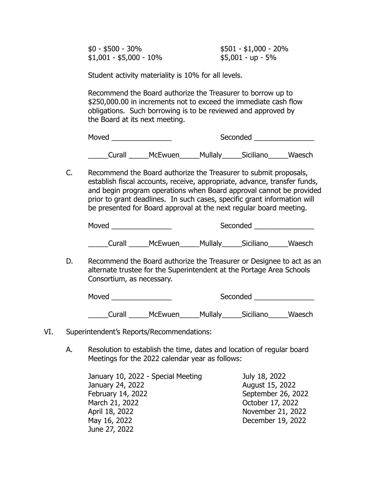$$0 - $500 - 30\%$  \$501 - \$1,000 - 20%  $$1,001 - $5,000 - 10\%$  \$5,001 - up - 5%

Student activity materiality is 10% for all levels.

Recommend the Board authorize the Treasurer to borrow up to \$250,000.00 in increments not to exceed the immediate cash flow obligations. Such borrowing is to be reviewed and approved by the Board at its next meeting.

Moved \_\_\_\_\_\_\_\_\_\_\_\_\_\_\_ Seconded \_\_\_\_\_\_\_\_\_\_\_\_\_\_\_

Curall McEwuen Mullaly Siciliano Waesch

C. Recommend the Board authorize the Treasurer to submit proposals, establish fiscal accounts, receive, appropriate, advance, transfer funds, and begin program operations when Board approval cannot be provided prior to grant deadlines. In such cases, specific grant information will be presented for Board approval at the next regular board meeting.

Moved \_\_\_\_\_\_\_\_\_\_\_\_\_\_\_ Seconded \_\_\_\_\_\_\_\_\_\_\_\_\_\_\_

Curall McEwuen Mullaly Siciliano Waesch

D. Recommend the Board authorize the Treasurer or Designee to act as an alternate trustee for the Superintendent at the Portage Area Schools Consortium, as necessary.

Moved \_\_\_\_\_\_\_\_\_\_\_\_\_\_\_ Seconded \_\_\_\_\_\_\_\_\_\_\_\_\_\_\_

\_\_\_\_\_Curall \_\_\_\_\_McEwuen\_\_\_\_\_Mullaly\_\_\_\_\_Siciliano\_\_\_\_\_Waesch

- VI. Superintendent's Reports/Recommendations:
	- A. Resolution to establish the time, dates and location of regular board Meetings for the 2022 calendar year as follows:

January 10, 2022 - Special Meeting July 18, 2022 January 24, 2022 August 15, 2022 February 14, 2022 September 26, 2022 March 21, 2022 October 17, 2022 April 18, 2022 November 21, 2022 May 16, 2022 December 19, 2022 June 27, 2022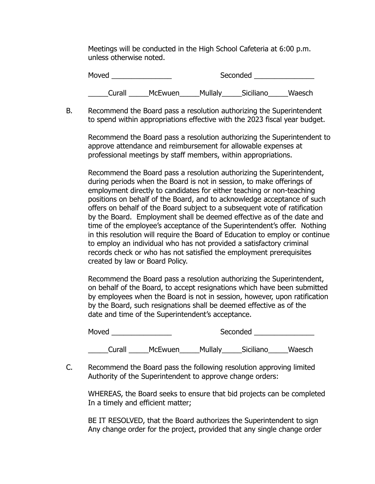Meetings will be conducted in the High School Cafeteria at 6:00 p.m. unless otherwise noted.

| Moved  |                | Seconded |           |        |
|--------|----------------|----------|-----------|--------|
| Curall | <b>McEwuen</b> | Mullaly  | Siciliano | Waesch |

B. Recommend the Board pass a resolution authorizing the Superintendent to spend within appropriations effective with the 2023 fiscal year budget.

Recommend the Board pass a resolution authorizing the Superintendent to approve attendance and reimbursement for allowable expenses at professional meetings by staff members, within appropriations.

Recommend the Board pass a resolution authorizing the Superintendent, during periods when the Board is not in session, to make offerings of employment directly to candidates for either teaching or non-teaching positions on behalf of the Board, and to acknowledge acceptance of such offers on behalf of the Board subject to a subsequent vote of ratification by the Board. Employment shall be deemed effective as of the date and time of the employee's acceptance of the Superintendent's offer. Nothing in this resolution will require the Board of Education to employ or continue to employ an individual who has not provided a satisfactory criminal records check or who has not satisfied the employment prerequisites created by law or Board Policy.

Recommend the Board pass a resolution authorizing the Superintendent, on behalf of the Board, to accept resignations which have been submitted by employees when the Board is not in session, however, upon ratification by the Board, such resignations shall be deemed effective as of the date and time of the Superintendent's acceptance.

| Moved  |                | Seconded |           |        |
|--------|----------------|----------|-----------|--------|
| Curall | <b>McEwuen</b> | Mullaly  | Siciliano | Waesch |

C. Recommend the Board pass the following resolution approving limited Authority of the Superintendent to approve change orders:

WHEREAS, the Board seeks to ensure that bid projects can be completed In a timely and efficient matter;

BE IT RESOLVED, that the Board authorizes the Superintendent to sign Any change order for the project, provided that any single change order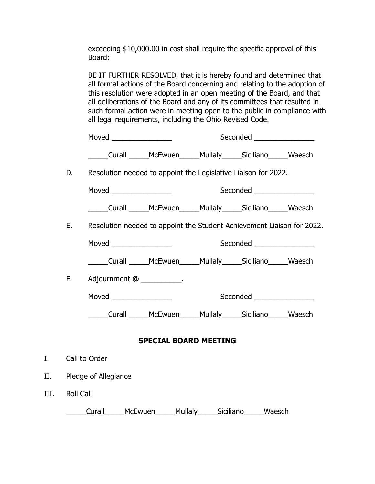exceeding \$10,000.00 in cost shall require the specific approval of this Board;

BE IT FURTHER RESOLVED, that it is hereby found and determined that all formal actions of the Board concerning and relating to the adoption of this resolution were adopted in an open meeting of the Board, and that all deliberations of the Board and any of its committees that resulted in such formal action were in meeting open to the public in compliance with all legal requirements, including the Ohio Revised Code.

|      |                                                                        |  | Seconded _________________        |  |
|------|------------------------------------------------------------------------|--|-----------------------------------|--|
|      | Curall McEwuen Mullaly Siciliano Waesch                                |  |                                   |  |
| D. I | Resolution needed to appoint the Legislative Liaison for 2022.         |  |                                   |  |
|      |                                                                        |  | Seconded ___________________      |  |
|      | Curall McEwuen Mullaly Siciliano Waesch                                |  |                                   |  |
| E.   | Resolution needed to appoint the Student Achievement Liaison for 2022. |  |                                   |  |
|      |                                                                        |  | Seconded ________________         |  |
|      | _____Curall ______McEwuen______Mullaly______Siciliano______Waesch      |  |                                   |  |
| F.   | Adjournment @ __________.                                              |  |                                   |  |
|      |                                                                        |  | Seconded <b>Exercise Seconded</b> |  |
|      | Curall McEwuen Mullaly Siciliano Waesch                                |  |                                   |  |
|      |                                                                        |  |                                   |  |

## **SPECIAL BOARD MEETING**

- I. Call to Order
- II. Pledge of Allegiance
- III. Roll Call

\_\_\_\_\_Curall\_\_\_\_\_McEwuen\_\_\_\_\_Mullaly\_\_\_\_\_Siciliano\_\_\_\_\_Waesch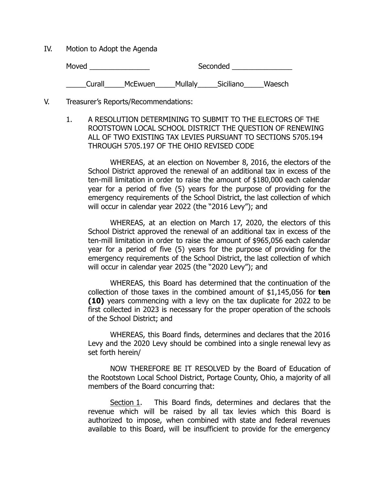IV. Motion to Adopt the Agenda

Moved \_\_\_\_\_\_\_\_\_\_\_\_\_\_\_ Seconded \_\_\_\_\_\_\_\_\_\_\_\_\_\_\_

\_\_\_\_\_Curall\_\_\_\_\_McEwuen\_\_\_\_\_Mullaly\_\_\_\_\_Siciliano\_\_\_\_\_Waesch

- V. Treasurer's Reports/Recommendations:
	- 1. A RESOLUTION DETERMINING TO SUBMIT TO THE ELECTORS OF THE ROOTSTOWN LOCAL SCHOOL DISTRICT THE QUESTION OF RENEWING ALL OF TWO EXISTING TAX LEVIES PURSUANT TO SECTIONS 5705.194 THROUGH 5705.197 OF THE OHIO REVISED CODE

WHEREAS, at an election on November 8, 2016, the electors of the School District approved the renewal of an additional tax in excess of the ten-mill limitation in order to raise the amount of \$180,000 each calendar year for a period of five (5) years for the purpose of providing for the emergency requirements of the School District, the last collection of which will occur in calendar year 2022 (the "2016 Levy"); and

WHEREAS, at an election on March 17, 2020, the electors of this School District approved the renewal of an additional tax in excess of the ten-mill limitation in order to raise the amount of \$965,056 each calendar year for a period of five (5) years for the purpose of providing for the emergency requirements of the School District, the last collection of which will occur in calendar year 2025 (the "2020 Levy"); and

WHEREAS, this Board has determined that the continuation of the collection of those taxes in the combined amount of \$1,145,056 for **ten (10)** years commencing with a levy on the tax duplicate for 2022 to be first collected in 2023 is necessary for the proper operation of the schools of the School District; and

WHEREAS, this Board finds, determines and declares that the 2016 Levy and the 2020 Levy should be combined into a single renewal levy as set forth herein/

NOW THEREFORE BE IT RESOLVED by the Board of Education of the Rootstown Local School District, Portage County, Ohio, a majority of all members of the Board concurring that:

Section 1. This Board finds, determines and declares that the revenue which will be raised by all tax levies which this Board is authorized to impose, when combined with state and federal revenues available to this Board, will be insufficient to provide for the emergency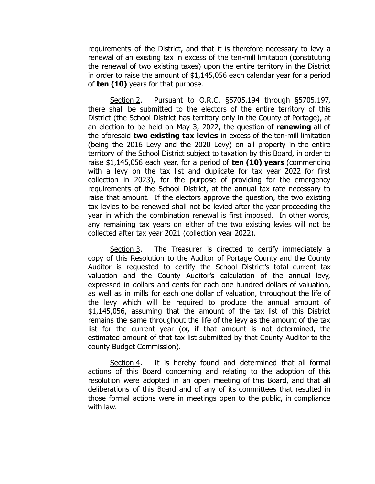requirements of the District, and that it is therefore necessary to levy a renewal of an existing tax in excess of the ten-mill limitation (constituting the renewal of two existing taxes) upon the entire territory in the District in order to raise the amount of \$1,145,056 each calendar year for a period of **ten (10)** years for that purpose.

Section 2. Pursuant to O.R.C. §5705.194 through §5705.197, there shall be submitted to the electors of the entire territory of this District (the School District has territory only in the County of Portage), at an election to be held on May 3, 2022, the question of **renewing** all of the aforesaid **two existing tax levies** in excess of the ten-mill limitation (being the 2016 Levy and the 2020 Levy) on all property in the entire territory of the School District subject to taxation by this Board, in order to raise \$1,145,056 each year, for a period of **ten (10) years** (commencing with a levy on the tax list and duplicate for tax year 2022 for first collection in 2023), for the purpose of providing for the emergency requirements of the School District, at the annual tax rate necessary to raise that amount. If the electors approve the question, the two existing tax levies to be renewed shall not be levied after the year proceeding the year in which the combination renewal is first imposed. In other words, any remaining tax years on either of the two existing levies will not be collected after tax year 2021 (collection year 2022).

Section 3. The Treasurer is directed to certify immediately a copy of this Resolution to the Auditor of Portage County and the County Auditor is requested to certify the School District's total current tax valuation and the County Auditor's calculation of the annual levy, expressed in dollars and cents for each one hundred dollars of valuation, as well as in mills for each one dollar of valuation, throughout the life of the levy which will be required to produce the annual amount of \$1,145,056, assuming that the amount of the tax list of this District remains the same throughout the life of the levy as the amount of the tax list for the current year (or, if that amount is not determined, the estimated amount of that tax list submitted by that County Auditor to the county Budget Commission).

Section 4. It is hereby found and determined that all formal actions of this Board concerning and relating to the adoption of this resolution were adopted in an open meeting of this Board, and that all deliberations of this Board and of any of its committees that resulted in those formal actions were in meetings open to the public, in compliance with law.